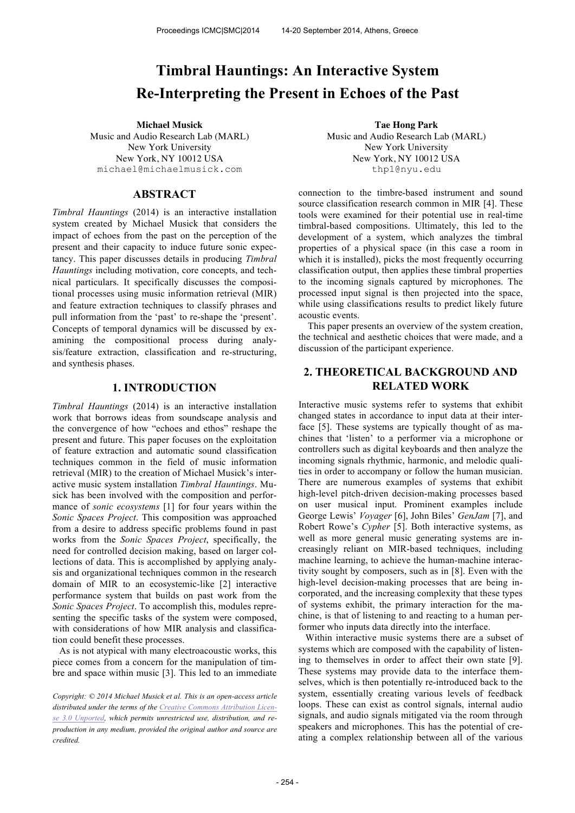# **Timbral Hauntings: An Interactive System Re-Interpreting the Present in Echoes of the Past**

Music and Audio Research Lab (MARL) New York University New York, NY 10012 USA michael@michaelmusick.com

# **ABSTRACT**

*Timbral Hauntings* (2014) is an interactive installation system created by Michael Musick that considers the impact of echoes from the past on the perception of the present and their capacity to induce future sonic expectancy. This paper discusses details in producing *Timbral Hauntings* including motivation, core concepts, and technical particulars. It specifically discusses the compositional processes using music information retrieval (MIR) and feature extraction techniques to classify phrases and pull information from the 'past' to re-shape the 'present'. Concepts of temporal dynamics will be discussed by examining the compositional process during analysis/feature extraction, classification and re-structuring, and synthesis phases.

# **1. INTRODUCTION**

*Timbral Hauntings* (2014) is an interactive installation work that borrows ideas from soundscape analysis and the convergence of how "echoes and ethos" reshape the present and future. This paper focuses on the exploitation of feature extraction and automatic sound classification techniques common in the field of music information retrieval (MIR) to the creation of Michael Musick's interactive music system installation *Timbral Hauntings*. Musick has been involved with the composition and performance of *sonic ecosystems* [1] for four years within the *Sonic Spaces Project*. This composition was approached from a desire to address specific problems found in past works from the *Sonic Spaces Project*, specifically, the need for controlled decision making, based on larger collections of data. This is accomplished by applying analysis and organizational techniques common in the research domain of MIR to an ecosystemic-like [2] interactive performance system that builds on past work from the *Sonic Spaces Project*. To accomplish this, modules representing the specific tasks of the system were composed, with considerations of how MIR analysis and classification could benefit these processes.

As is not atypical with many electroacoustic works, this piece comes from a concern for the manipulation of timbre and space within music [3]. This led to an immediate

*Copyright: © 2014 Michael Musick et al. This is an open-access article distributed under the terms of the Creative Commons Attribution License 3.0 Unported, which permits unrestricted use, distribution, and reproduction in any medium, provided the original author and source are credited.*

**Michael Musick Tae Hong Park** Music and Audio Research Lab (MARL) New York University New York, NY 10012 USA thp1@nyu.edu

> connection to the timbre-based instrument and sound source classification research common in MIR [4]. These tools were examined for their potential use in real-time timbral-based compositions. Ultimately, this led to the development of a system, which analyzes the timbral properties of a physical space (in this case a room in which it is installed), picks the most frequently occurring classification output, then applies these timbral properties to the incoming signals captured by microphones. The processed input signal is then projected into the space, while using classifications results to predict likely future acoustic events.

> This paper presents an overview of the system creation, the technical and aesthetic choices that were made, and a discussion of the participant experience.

# **2. THEORETICAL BACKGROUND AND RELATED WORK**

Interactive music systems refer to systems that exhibit changed states in accordance to input data at their interface [5]. These systems are typically thought of as machines that 'listen' to a performer via a microphone or controllers such as digital keyboards and then analyze the incoming signals rhythmic, harmonic, and melodic qualities in order to accompany or follow the human musician. There are numerous examples of systems that exhibit high-level pitch-driven decision-making processes based on user musical input. Prominent examples include George Lewis' *Voyager* [6], John Biles' *GenJam* [7], and Robert Rowe's *Cypher* [5]. Both interactive systems, as well as more general music generating systems are increasingly reliant on MIR-based techniques, including machine learning, to achieve the human-machine interactivity sought by composers, such as in [8]. Even with the high-level decision-making processes that are being incorporated, and the increasing complexity that these types of systems exhibit, the primary interaction for the machine, is that of listening to and reacting to a human performer who inputs data directly into the interface.

Within interactive music systems there are a subset of systems which are composed with the capability of listening to themselves in order to affect their own state [9]. These systems may provide data to the interface themselves, which is then potentially re-introduced back to the system, essentially creating various levels of feedback loops. These can exist as control signals, internal audio signals, and audio signals mitigated via the room through speakers and microphones. This has the potential of creating a complex relationship between all of the various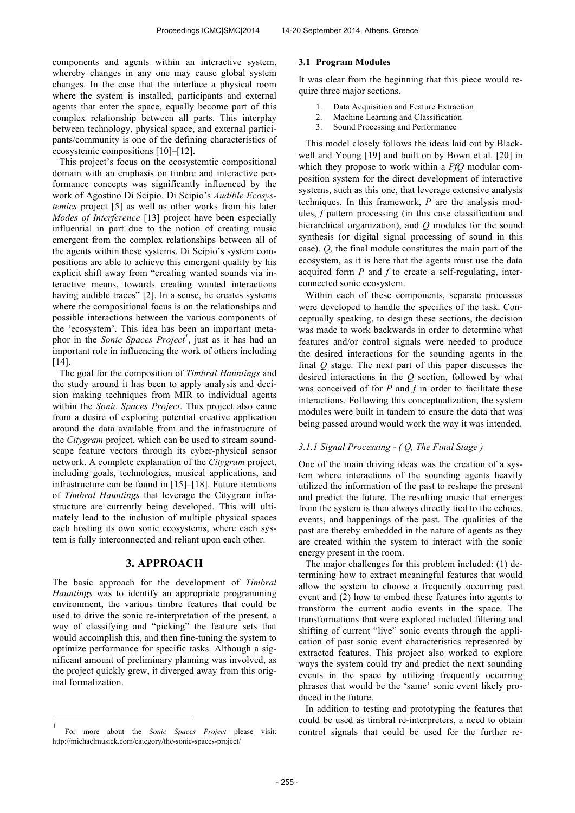components and agents within an interactive system, whereby changes in any one may cause global system changes. In the case that the interface a physical room where the system is installed, participants and external agents that enter the space, equally become part of this complex relationship between all parts. This interplay between technology, physical space, and external participants/community is one of the defining characteristics of ecosystemic compositions [10]–[12].

This project's focus on the ecosystemtic compositional domain with an emphasis on timbre and interactive performance concepts was significantly influenced by the work of Agostino Di Scipio. Di Scipio's *Audible Ecosystemics* project [5] as well as other works from his later *Modes of Interference* [13] project have been especially influential in part due to the notion of creating music emergent from the complex relationships between all of the agents within these systems. Di Scipio's system compositions are able to achieve this emergent quality by his explicit shift away from "creating wanted sounds via interactive means, towards creating wanted interactions having audible traces" [2]. In a sense, he creates systems where the compositional focus is on the relationships and possible interactions between the various components of the 'ecosystem'. This idea has been an important metaphor in the *Sonic Spaces Project<sup>1</sup>* , just as it has had an important role in influencing the work of others including [14].

The goal for the composition of *Timbral Hauntings* and the study around it has been to apply analysis and decision making techniques from MIR to individual agents within the *Sonic Spaces Project*. This project also came from a desire of exploring potential creative application around the data available from and the infrastructure of the *Citygram* project, which can be used to stream soundscape feature vectors through its cyber-physical sensor network. A complete explanation of the *Citygram* project, including goals, technologies, musical applications, and infrastructure can be found in [15]–[18]. Future iterations of *Timbral Hauntings* that leverage the Citygram infrastructure are currently being developed. This will ultimately lead to the inclusion of multiple physical spaces each hosting its own sonic ecosystems, where each system is fully interconnected and reliant upon each other.

# **3. APPROACH**

The basic approach for the development of *Timbral Hauntings* was to identify an appropriate programming environment, the various timbre features that could be used to drive the sonic re-interpretation of the present, a way of classifying and "picking" the feature sets that would accomplish this, and then fine-tuning the system to optimize performance for specific tasks. Although a significant amount of preliminary planning was involved, as the project quickly grew, it diverged away from this original formalization.

 $\overline{a}$ 

#### **3.1 Program Modules**

It was clear from the beginning that this piece would require three major sections.

- 1. Data Acquisition and Feature Extraction
- 2. Machine Learning and Classification
- 3. Sound Processing and Performance

This model closely follows the ideas laid out by Blackwell and Young [19] and built on by Bown et al. [20] in which they propose to work within a *PfQ* modular composition system for the direct development of interactive systems, such as this one, that leverage extensive analysis techniques. In this framework, *P* are the analysis modules, *f* pattern processing (in this case classification and hierarchical organization), and *Q* modules for the sound synthesis (or digital signal processing of sound in this case). *Q,* the final module constitutes the main part of the ecosystem, as it is here that the agents must use the data acquired form *P* and *f* to create a self-regulating, interconnected sonic ecosystem.

Within each of these components, separate processes were developed to handle the specifics of the task. Conceptually speaking, to design these sections, the decision was made to work backwards in order to determine what features and/or control signals were needed to produce the desired interactions for the sounding agents in the final *Q* stage. The next part of this paper discusses the desired interactions in the *Q* section, followed by what was conceived of for *P* and *f* in order to facilitate these interactions. Following this conceptualization, the system modules were built in tandem to ensure the data that was being passed around would work the way it was intended.

#### *3.1.1 Signal Processing - ( Q, The Final Stage )*

One of the main driving ideas was the creation of a system where interactions of the sounding agents heavily utilized the information of the past to reshape the present and predict the future. The resulting music that emerges from the system is then always directly tied to the echoes, events, and happenings of the past. The qualities of the past are thereby embedded in the nature of agents as they are created within the system to interact with the sonic energy present in the room.

The major challenges for this problem included: (1) determining how to extract meaningful features that would allow the system to choose a frequently occurring past event and (2) how to embed these features into agents to transform the current audio events in the space. The transformations that were explored included filtering and shifting of current "live" sonic events through the application of past sonic event characteristics represented by extracted features. This project also worked to explore ways the system could try and predict the next sounding events in the space by utilizing frequently occurring phrases that would be the 'same' sonic event likely produced in the future.

In addition to testing and prototyping the features that could be used as timbral re-interpreters, a need to obtain control signals that could be used for the further re-

<sup>1</sup> For more about the *Sonic Spaces Project* please visit: http://michaelmusick.com/category/the-sonic-spaces-project/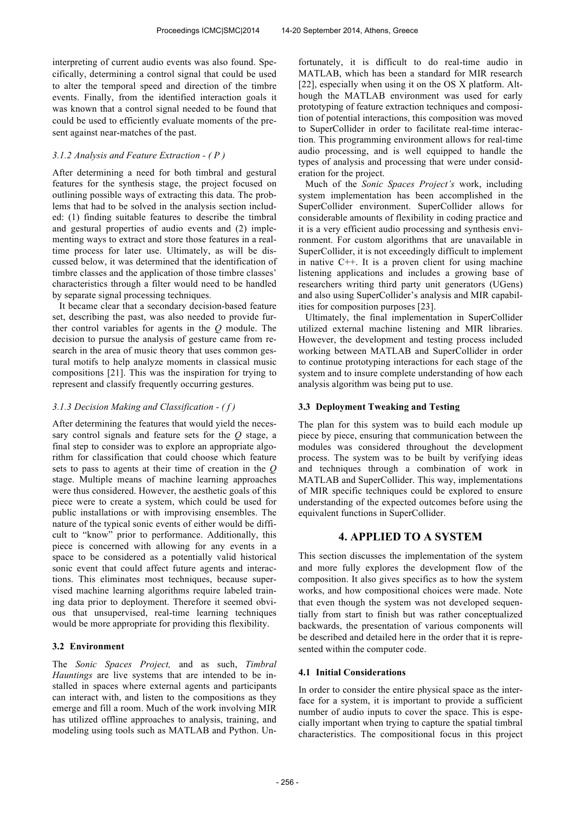interpreting of current audio events was also found. Specifically, determining a control signal that could be used to alter the temporal speed and direction of the timbre events. Finally, from the identified interaction goals it was known that a control signal needed to be found that could be used to efficiently evaluate moments of the present against near-matches of the past.

# *3.1.2 Analysis and Feature Extraction - ( P )*

After determining a need for both timbral and gestural features for the synthesis stage, the project focused on outlining possible ways of extracting this data. The problems that had to be solved in the analysis section included: (1) finding suitable features to describe the timbral and gestural properties of audio events and (2) implementing ways to extract and store those features in a realtime process for later use. Ultimately, as will be discussed below, it was determined that the identification of timbre classes and the application of those timbre classes' characteristics through a filter would need to be handled by separate signal processing techniques.

It became clear that a secondary decision-based feature set, describing the past, was also needed to provide further control variables for agents in the *Q* module. The decision to pursue the analysis of gesture came from research in the area of music theory that uses common gestural motifs to help analyze moments in classical music compositions [21]. This was the inspiration for trying to represent and classify frequently occurring gestures.

## *3.1.3 Decision Making and Classification - ( f )*

After determining the features that would yield the necessary control signals and feature sets for the *Q* stage, a final step to consider was to explore an appropriate algorithm for classification that could choose which feature sets to pass to agents at their time of creation in the *Q* stage. Multiple means of machine learning approaches were thus considered. However, the aesthetic goals of this piece were to create a system, which could be used for public installations or with improvising ensembles. The nature of the typical sonic events of either would be difficult to "know" prior to performance. Additionally, this piece is concerned with allowing for any events in a space to be considered as a potentially valid historical sonic event that could affect future agents and interactions. This eliminates most techniques, because supervised machine learning algorithms require labeled training data prior to deployment. Therefore it seemed obvious that unsupervised, real-time learning techniques would be more appropriate for providing this flexibility.

#### **3.2 Environment**

The *Sonic Spaces Project,* and as such, *Timbral Hauntings* are live systems that are intended to be installed in spaces where external agents and participants can interact with, and listen to the compositions as they emerge and fill a room. Much of the work involving MIR has utilized offline approaches to analysis, training, and modeling using tools such as MATLAB and Python. Un-

fortunately, it is difficult to do real-time audio in MATLAB, which has been a standard for MIR research [22], especially when using it on the OS X platform. Although the MATLAB environment was used for early prototyping of feature extraction techniques and composition of potential interactions, this composition was moved to SuperCollider in order to facilitate real-time interaction. This programming environment allows for real-time audio processing, and is well equipped to handle the types of analysis and processing that were under consideration for the project.

Much of the *Sonic Spaces Project's* work, including system implementation has been accomplished in the SuperCollider environment. SuperCollider allows for considerable amounts of flexibility in coding practice and it is a very efficient audio processing and synthesis environment. For custom algorithms that are unavailable in SuperCollider, it is not exceedingly difficult to implement in native C++. It is a proven client for using machine listening applications and includes a growing base of researchers writing third party unit generators (UGens) and also using SuperCollider's analysis and MIR capabilities for composition purposes [23].

Ultimately, the final implementation in SuperCollider utilized external machine listening and MIR libraries. However, the development and testing process included working between MATLAB and SuperCollider in order to continue prototyping interactions for each stage of the system and to insure complete understanding of how each analysis algorithm was being put to use.

# **3.3 Deployment Tweaking and Testing**

The plan for this system was to build each module up piece by piece, ensuring that communication between the modules was considered throughout the development process. The system was to be built by verifying ideas and techniques through a combination of work in MATLAB and SuperCollider. This way, implementations of MIR specific techniques could be explored to ensure understanding of the expected outcomes before using the equivalent functions in SuperCollider.

# **4. APPLIED TO A SYSTEM**

This section discusses the implementation of the system and more fully explores the development flow of the composition. It also gives specifics as to how the system works, and how compositional choices were made. Note that even though the system was not developed sequentially from start to finish but was rather conceptualized backwards, the presentation of various components will be described and detailed here in the order that it is represented within the computer code.

# **4.1 Initial Considerations**

In order to consider the entire physical space as the interface for a system, it is important to provide a sufficient number of audio inputs to cover the space. This is especially important when trying to capture the spatial timbral characteristics. The compositional focus in this project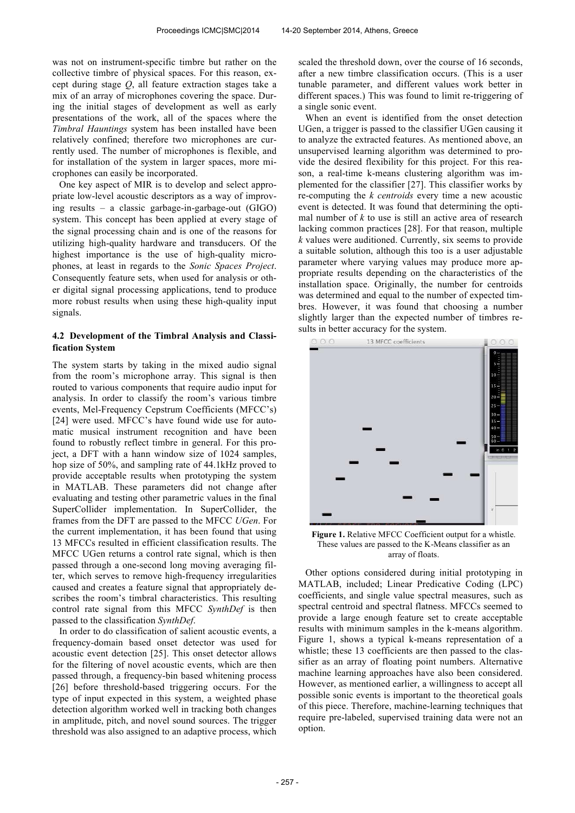was not on instrument-specific timbre but rather on the collective timbre of physical spaces. For this reason, except during stage *Q*, all feature extraction stages take a mix of an array of microphones covering the space. During the initial stages of development as well as early presentations of the work, all of the spaces where the *Timbral Hauntings* system has been installed have been relatively confined; therefore two microphones are currently used. The number of microphones is flexible, and for installation of the system in larger spaces, more microphones can easily be incorporated.

One key aspect of MIR is to develop and select appropriate low-level acoustic descriptors as a way of improving results – a classic garbage-in-garbage-out (GIGO) system. This concept has been applied at every stage of the signal processing chain and is one of the reasons for utilizing high-quality hardware and transducers. Of the highest importance is the use of high-quality microphones, at least in regards to the *Sonic Spaces Project*. Consequently feature sets, when used for analysis or other digital signal processing applications, tend to produce more robust results when using these high-quality input signals.

# **4.2 Development of the Timbral Analysis and Classification System**

The system starts by taking in the mixed audio signal from the room's microphone array. This signal is then routed to various components that require audio input for analysis. In order to classify the room's various timbre events, Mel-Frequency Cepstrum Coefficients (MFCC's) [24] were used. MFCC's have found wide use for automatic musical instrument recognition and have been found to robustly reflect timbre in general. For this project, a DFT with a hann window size of 1024 samples, hop size of 50%, and sampling rate of 44.1kHz proved to provide acceptable results when prototyping the system in MATLAB. These parameters did not change after evaluating and testing other parametric values in the final SuperCollider implementation. In SuperCollider, the frames from the DFT are passed to the MFCC *UGen*. For the current implementation, it has been found that using 13 MFCCs resulted in efficient classification results. The MFCC UGen returns a control rate signal, which is then passed through a one-second long moving averaging filter, which serves to remove high-frequency irregularities caused and creates a feature signal that appropriately describes the room's timbral characteristics. This resulting control rate signal from this MFCC *SynthDef* is then passed to the classification *SynthDef*.

In order to do classification of salient acoustic events, a frequency-domain based onset detector was used for acoustic event detection [25]. This onset detector allows for the filtering of novel acoustic events, which are then passed through, a frequency-bin based whitening process [26] before threshold-based triggering occurs. For the type of input expected in this system, a weighted phase detection algorithm worked well in tracking both changes in amplitude, pitch, and novel sound sources. The trigger threshold was also assigned to an adaptive process, which

scaled the threshold down, over the course of 16 seconds, after a new timbre classification occurs. (This is a user tunable parameter, and different values work better in different spaces.) This was found to limit re-triggering of a single sonic event.

When an event is identified from the onset detection UGen, a trigger is passed to the classifier UGen causing it to analyze the extracted features. As mentioned above, an unsupervised learning algorithm was determined to provide the desired flexibility for this project. For this reason, a real-time k-means clustering algorithm was implemented for the classifier [27]. This classifier works by re-computing the *k centroids* every time a new acoustic event is detected. It was found that determining the optimal number of *k* to use is still an active area of research lacking common practices [28]. For that reason, multiple *k* values were auditioned. Currently, six seems to provide a suitable solution, although this too is a user adjustable parameter where varying values may produce more appropriate results depending on the characteristics of the installation space. Originally, the number for centroids was determined and equal to the number of expected timbres. However, it was found that choosing a number slightly larger than the expected number of timbres results in better accuracy for the system.



**Figure 1.** Relative MFCC Coefficient output for a whistle. These values are passed to the K-Means classifier as an array of floats.

Other options considered during initial prototyping in MATLAB, included; Linear Predicative Coding (LPC) coefficients, and single value spectral measures, such as spectral centroid and spectral flatness. MFCCs seemed to provide a large enough feature set to create acceptable results with minimum samples in the k-means algorithm. Figure 1, shows a typical k-means representation of a whistle; these 13 coefficients are then passed to the classifier as an array of floating point numbers. Alternative machine learning approaches have also been considered. However, as mentioned earlier, a willingness to accept all possible sonic events is important to the theoretical goals of this piece. Therefore, machine-learning techniques that require pre-labeled, supervised training data were not an option.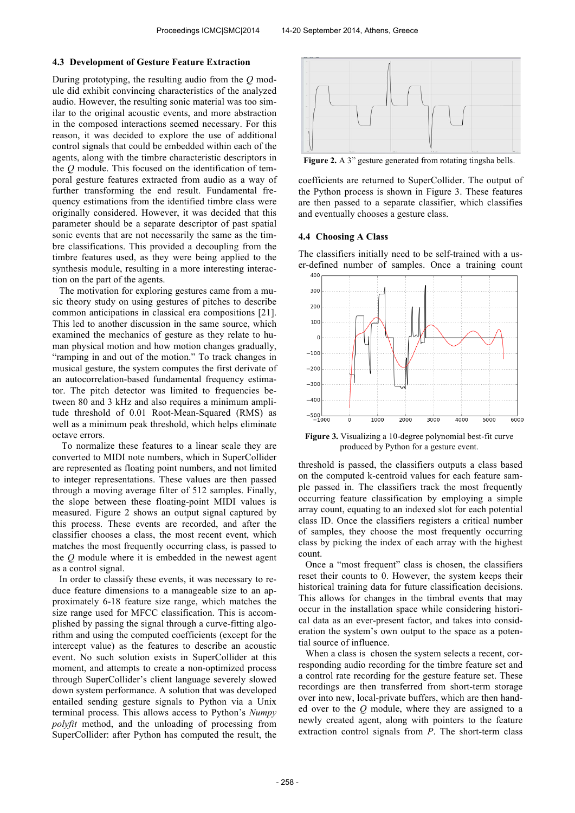#### **4.3 Development of Gesture Feature Extraction**

During prototyping, the resulting audio from the *Q* module did exhibit convincing characteristics of the analyzed audio. However, the resulting sonic material was too similar to the original acoustic events, and more abstraction in the composed interactions seemed necessary. For this reason, it was decided to explore the use of additional control signals that could be embedded within each of the agents, along with the timbre characteristic descriptors in the *Q* module. This focused on the identification of temporal gesture features extracted from audio as a way of further transforming the end result. Fundamental frequency estimations from the identified timbre class were originally considered. However, it was decided that this parameter should be a separate descriptor of past spatial sonic events that are not necessarily the same as the timbre classifications. This provided a decoupling from the timbre features used, as they were being applied to the synthesis module, resulting in a more interesting interaction on the part of the agents.

The motivation for exploring gestures came from a music theory study on using gestures of pitches to describe common anticipations in classical era compositions [21]. This led to another discussion in the same source, which examined the mechanics of gesture as they relate to human physical motion and how motion changes gradually, "ramping in and out of the motion." To track changes in musical gesture, the system computes the first derivate of an autocorrelation-based fundamental frequency estimator. The pitch detector was limited to frequencies between 80 and 3 kHz and also requires a minimum amplitude threshold of 0.01 Root-Mean-Squared (RMS) as well as a minimum peak threshold, which helps eliminate octave errors.

To normalize these features to a linear scale they are converted to MIDI note numbers, which in SuperCollider are represented as floating point numbers, and not limited to integer representations. These values are then passed through a moving average filter of 512 samples. Finally, the slope between these floating-point MIDI values is measured. Figure 2 shows an output signal captured by this process. These events are recorded, and after the classifier chooses a class, the most recent event, which matches the most frequently occurring class, is passed to the *Q* module where it is embedded in the newest agent as a control signal.

In order to classify these events, it was necessary to reduce feature dimensions to a manageable size to an approximately 6-18 feature size range, which matches the size range used for MFCC classification. This is accomplished by passing the signal through a curve-fitting algorithm and using the computed coefficients (except for the intercept value) as the features to describe an acoustic event. No such solution exists in SuperCollider at this moment, and attempts to create a non-optimized process through SuperCollider's client language severely slowed down system performance. A solution that was developed entailed sending gesture signals to Python via a Unix terminal process. This allows access to Python's *Numpy polyfit* method, and the unloading of processing from SuperCollider: after Python has computed the result, the



Figure 2. A 3" gesture generated from rotating tingsha bells.

coefficients are returned to SuperCollider. The output of the Python process is shown in Figure 3. These features are then passed to a separate classifier, which classifies and eventually chooses a gesture class.

#### **4.4 Choosing A Class**

The classifiers initially need to be self-trained with a user-defined number of samples. Once a training count



**Figure 3.** Visualizing a 10-degree polynomial best-fit curve produced by Python for a gesture event.

threshold is passed, the classifiers outputs a class based on the computed k-centroid values for each feature sample passed in. The classifiers track the most frequently occurring feature classification by employing a simple array count, equating to an indexed slot for each potential class ID. Once the classifiers registers a critical number of samples, they choose the most frequently occurring class by picking the index of each array with the highest count.

Once a "most frequent" class is chosen, the classifiers reset their counts to 0. However, the system keeps their historical training data for future classification decisions. This allows for changes in the timbral events that may occur in the installation space while considering historical data as an ever-present factor, and takes into consideration the system's own output to the space as a potential source of influence.

When a class is chosen the system selects a recent, corresponding audio recording for the timbre feature set and a control rate recording for the gesture feature set. These recordings are then transferred from short-term storage over into new, local-private buffers, which are then handed over to the *Q* module, where they are assigned to a newly created agent, along with pointers to the feature extraction control signals from *P*. The short-term class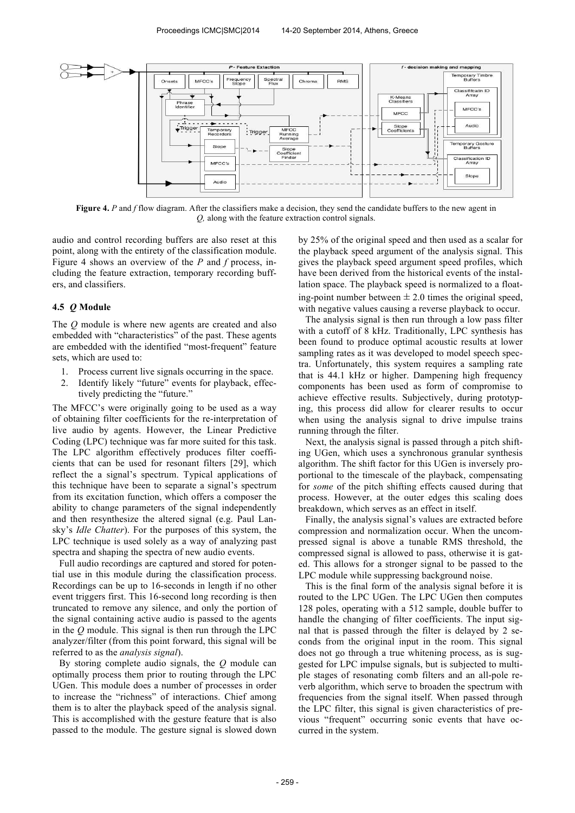

**Figure 4.** *P* and *f* flow diagram. After the classifiers make a decision, they send the candidate buffers to the new agent in *Q,* along with the feature extraction control signals.

audio and control recording buffers are also reset at this point, along with the entirety of the classification module. Figure 4 shows an overview of the *P* and *f* process, including the feature extraction, temporary recording buffers, and classifiers.

### **4.5** *Q* **Module**

The *Q* module is where new agents are created and also embedded with "characteristics" of the past. These agents are embedded with the identified "most-frequent" feature sets, which are used to:

- 1. Process current live signals occurring in the space.
- 2. Identify likely "future" events for playback, effectively predicting the "future."

The MFCC's were originally going to be used as a way of obtaining filter coefficients for the re-interpretation of live audio by agents. However, the Linear Predictive Coding (LPC) technique was far more suited for this task. The LPC algorithm effectively produces filter coefficients that can be used for resonant filters [29], which reflect the a signal's spectrum. Typical applications of this technique have been to separate a signal's spectrum from its excitation function, which offers a composer the ability to change parameters of the signal independently and then resynthesize the altered signal (e.g. Paul Lansky's *Idle Chatter*). For the purposes of this system, the LPC technique is used solely as a way of analyzing past spectra and shaping the spectra of new audio events.

Full audio recordings are captured and stored for potential use in this module during the classification process. Recordings can be up to 16-seconds in length if no other event triggers first. This 16-second long recording is then truncated to remove any silence, and only the portion of the signal containing active audio is passed to the agents in the *Q* module. This signal is then run through the LPC analyzer/filter (from this point forward, this signal will be referred to as the *analysis signal*).

By storing complete audio signals, the *Q* module can optimally process them prior to routing through the LPC UGen. This module does a number of processes in order to increase the "richness" of interactions. Chief among them is to alter the playback speed of the analysis signal. This is accomplished with the gesture feature that is also passed to the module. The gesture signal is slowed down

by 25% of the original speed and then used as a scalar for the playback speed argument of the analysis signal. This gives the playback speed argument speed profiles, which have been derived from the historical events of the installation space. The playback speed is normalized to a floating-point number between  $\pm 2.0$  times the original speed, with negative values causing a reverse playback to occur.

The analysis signal is then run through a low pass filter with a cutoff of 8 kHz. Traditionally, LPC synthesis has been found to produce optimal acoustic results at lower sampling rates as it was developed to model speech spectra. Unfortunately, this system requires a sampling rate that is 44.1 kHz or higher. Dampening high frequency components has been used as form of compromise to achieve effective results. Subjectively, during prototyping, this process did allow for clearer results to occur when using the analysis signal to drive impulse trains running through the filter.

Next, the analysis signal is passed through a pitch shifting UGen, which uses a synchronous granular synthesis algorithm. The shift factor for this UGen is inversely proportional to the timescale of the playback, compensating for *some* of the pitch shifting effects caused during that process. However, at the outer edges this scaling does breakdown, which serves as an effect in itself.

Finally, the analysis signal's values are extracted before compression and normalization occur. When the uncompressed signal is above a tunable RMS threshold, the compressed signal is allowed to pass, otherwise it is gated. This allows for a stronger signal to be passed to the LPC module while suppressing background noise.

This is the final form of the analysis signal before it is routed to the LPC UGen. The LPC UGen then computes 128 poles, operating with a 512 sample, double buffer to handle the changing of filter coefficients. The input signal that is passed through the filter is delayed by 2 seconds from the original input in the room. This signal does not go through a true whitening process, as is suggested for LPC impulse signals, but is subjected to multiple stages of resonating comb filters and an all-pole reverb algorithm, which serve to broaden the spectrum with frequencies from the signal itself. When passed through the LPC filter, this signal is given characteristics of previous "frequent" occurring sonic events that have occurred in the system.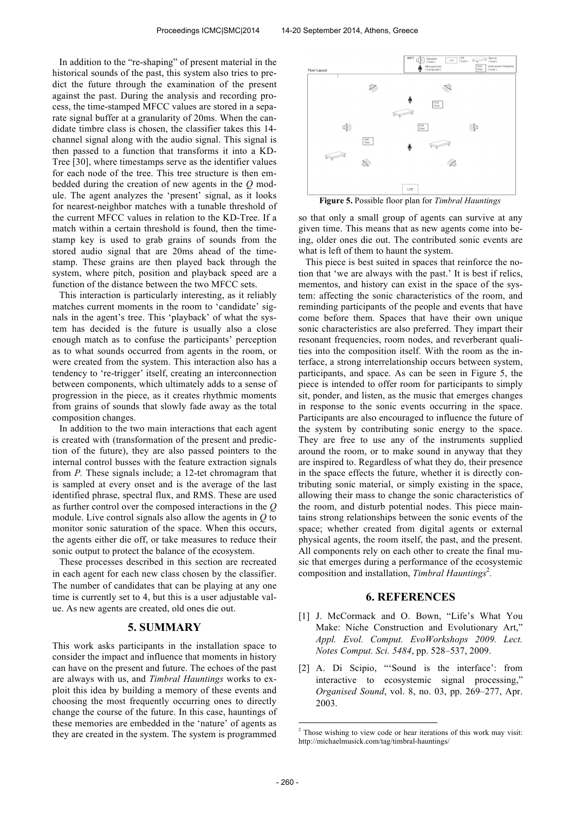In addition to the "re-shaping" of present material in the historical sounds of the past, this system also tries to predict the future through the examination of the present against the past. During the analysis and recording process, the time-stamped MFCC values are stored in a separate signal buffer at a granularity of 20ms. When the candidate timbre class is chosen, the classifier takes this 14 channel signal along with the audio signal. This signal is then passed to a function that transforms it into a KD-Tree [30], where timestamps serve as the identifier values for each node of the tree. This tree structure is then embedded during the creation of new agents in the *Q* module. The agent analyzes the 'present' signal, as it looks for nearest-neighbor matches with a tunable threshold of the current MFCC values in relation to the KD-Tree. If a match within a certain threshold is found, then the timestamp key is used to grab grains of sounds from the stored audio signal that are 20ms ahead of the timestamp. These grains are then played back through the system, where pitch, position and playback speed are a function of the distance between the two MFCC sets.

This interaction is particularly interesting, as it reliably matches current moments in the room to 'candidate' signals in the agent's tree. This 'playback' of what the system has decided is the future is usually also a close enough match as to confuse the participants' perception as to what sounds occurred from agents in the room, or were created from the system. This interaction also has a tendency to 're-trigger' itself, creating an interconnection between components, which ultimately adds to a sense of progression in the piece, as it creates rhythmic moments from grains of sounds that slowly fade away as the total composition changes.

In addition to the two main interactions that each agent is created with (transformation of the present and prediction of the future), they are also passed pointers to the internal control busses with the feature extraction signals from *P.* These signals include; a 12-tet chromagram that is sampled at every onset and is the average of the last identified phrase, spectral flux, and RMS. These are used as further control over the composed interactions in the *Q* module. Live control signals also allow the agents in *Q* to monitor sonic saturation of the space. When this occurs, the agents either die off, or take measures to reduce their sonic output to protect the balance of the ecosystem.

These processes described in this section are recreated in each agent for each new class chosen by the classifier. The number of candidates that can be playing at any one time is currently set to 4, but this is a user adjustable value. As new agents are created, old ones die out.

# **5. SUMMARY**

This work asks participants in the installation space to consider the impact and influence that moments in history can have on the present and future. The echoes of the past are always with us, and *Timbral Hauntings* works to exploit this idea by building a memory of these events and choosing the most frequently occurring ones to directly change the course of the future. In this case, hauntings of these memories are embedded in the 'nature' of agents as they are created in the system. The system is programmed



**Figure 5.** Possible floor plan for *Timbral Hauntings*

so that only a small group of agents can survive at any given time. This means that as new agents come into being, older ones die out. The contributed sonic events are what is left of them to haunt the system.

This piece is best suited in spaces that reinforce the notion that 'we are always with the past.' It is best if relics, mementos, and history can exist in the space of the system: affecting the sonic characteristics of the room, and reminding participants of the people and events that have come before them. Spaces that have their own unique sonic characteristics are also preferred. They impart their resonant frequencies, room nodes, and reverberant qualities into the composition itself. With the room as the interface, a strong interrelationship occurs between system, participants, and space. As can be seen in Figure 5, the piece is intended to offer room for participants to simply sit, ponder, and listen, as the music that emerges changes in response to the sonic events occurring in the space. Participants are also encouraged to influence the future of the system by contributing sonic energy to the space. They are free to use any of the instruments supplied around the room, or to make sound in anyway that they are inspired to. Regardless of what they do, their presence in the space effects the future, whether it is directly contributing sonic material, or simply existing in the space, allowing their mass to change the sonic characteristics of the room, and disturb potential nodes. This piece maintains strong relationships between the sonic events of the space; whether created from digital agents or external physical agents, the room itself, the past, and the present. All components rely on each other to create the final music that emerges during a performance of the ecosystemic composition and installation, *Timbral Hauntings*<sup>2</sup>.

# **6. REFERENCES**

- [1] J. McCormack and O. Bown, "Life's What You Make: Niche Construction and Evolutionary Art," *Appl. Evol. Comput. EvoWorkshops 2009. Lect. Notes Comput. Sci. 5484*, pp. 528–537, 2009.
- [2] A. Di Scipio, "Sound is the interface': from interactive to ecosystemic signal processing," *Organised Sound*, vol. 8, no. 03, pp. 269–277, Apr. 2003.

<sup>-</sup> $2$  Those wishing to view code or hear iterations of this work may visit: http://michaelmusick.com/tag/timbral-hauntings/